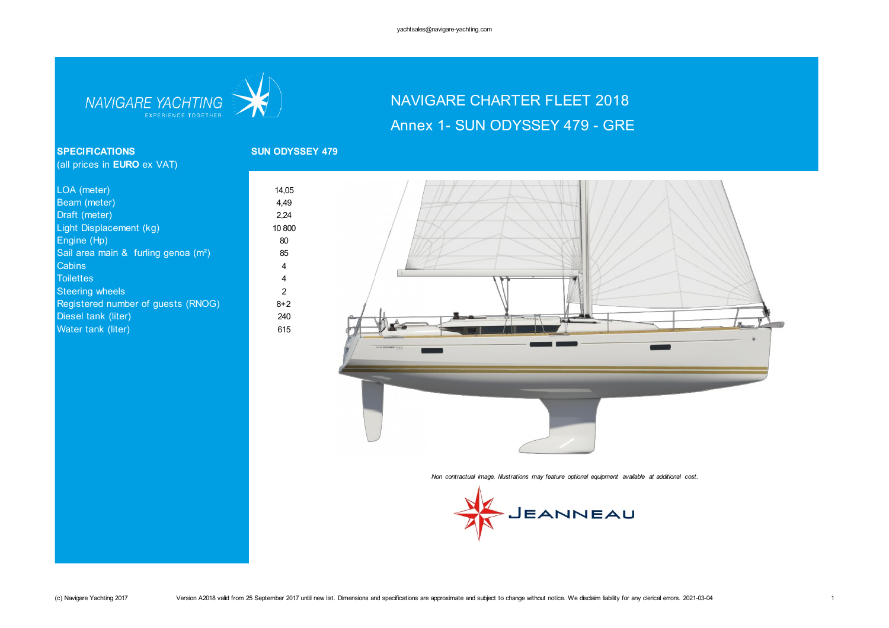

# NAVIGARE CHARTER FLEET 2018 Annex 1- SUN ODYSSEY 479 - GRE

### **SPECIFICATIONS SUN ODYSSEY 479** (all prices in **EURO** ex VAT)

| 14,05          |
|----------------|
| 4,49           |
| 2,24           |
| 10 800         |
| 80             |
| 85             |
| 4              |
| $\overline{4}$ |
| 2              |
| $8 + 2$        |
| 240            |
| 615            |
|                |



*Non contractual image. Illustrations may feature optional equipment available at additional cost.*

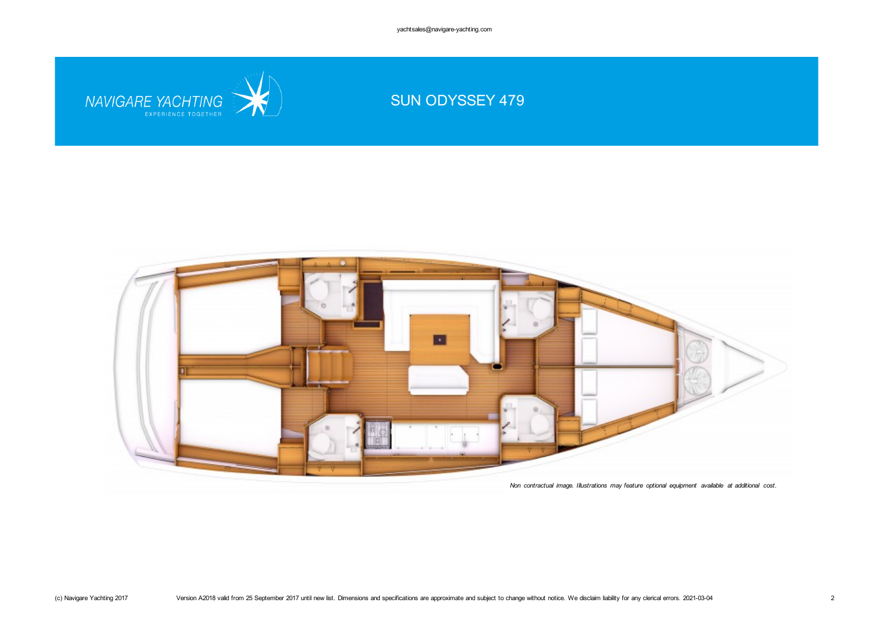yachtsales@navigare-yachting.com

SUN ODYSSEY 479

NAVIGARE YACHTING



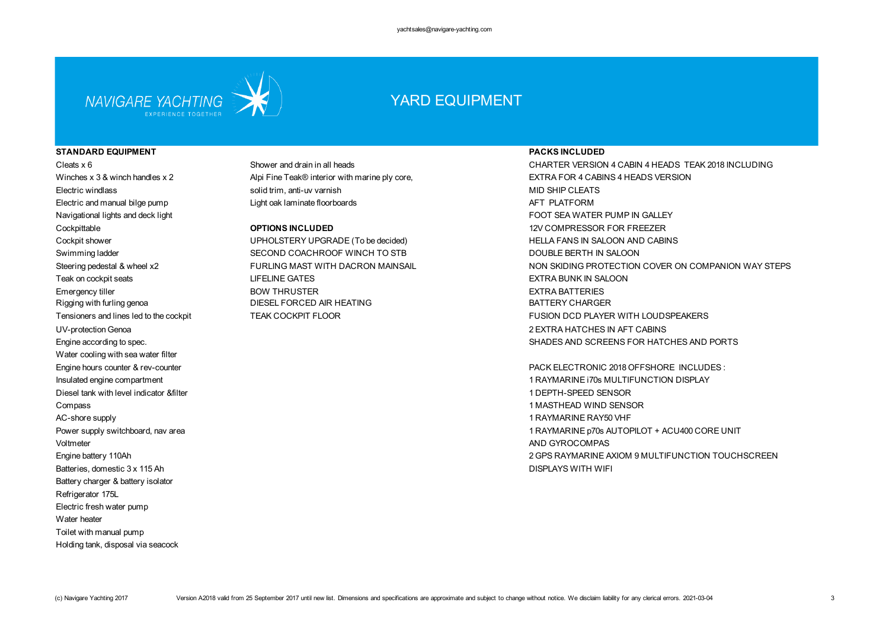

## YARD EQUIPMENT

### **STANDARD EQUIPMENT PACKS INCLUDED**

Electric and manual bilge pump **Light oak laminate floorboards** AFT PLATFORM Navigational lights and deck light FOOT SEA WATER PUMP IN GALLEY Cockpittable **OPTIONS INCLUDED** 12V COMPRESSOR FOR FREEZER UV-protection Genoa 2 EXTRA HATCHES IN AFT CABINS Water cooling with sea water filter Engine hours counter & rev-counter  $\alpha$  rev-counter  $\alpha$  reverses the part of the entries of the part of the part of the entries of the part of the part of the entries of the part of the entries of the entries of the entri Diesel tank with level indicator &filter 1 DEPTH-SPEED SENSOR Compass 1 MASTHEAD WIND SENSOR AC-shore supply 1 RAYMARINE RAY50 VHF Voltmeter AND GYROCOMPAS Batteries, domestic 3 x 115 Ah DISPLAYS WITH WIFI Battery charger & battery isolator Refrigerator 175L Electric fresh water pump Water heater Toilet with manual pump Holding tank, disposal via seacock

Electric windlass solid trim, anti-uv varnish MID SHIP CLEATS

Cockpit shower **Example 20 THOLSTERY UPHOLSTERY UPGRADE** (To be decided) The UPHOLSTERY UPGRADE (To be decided) Swimming ladder SECOND COACHROOF WINCH TO STB DOUBLE BERTH IN SALOON Teak on cockpit seats The Same Community of the LIFELINE GATES And the SALOON COMMUNITY CONTRA BUNK IN SALOON Emergency tiller and the second term of the BOW THRUSTER EXTRA BATTERIES AND EXTRA BATTERIES Rigging with furling genoa **DIESEL FORCED AIR HEATING** BATTERY CHARGER

Cleats x 6 Shower and drain in all heads CHARTER VERSION 4 CABIN 4 HEADS TEAK 2018 INCLUDING Winches x 3 & winch handles x 2 Alpi Fine Teak® interior with marine ply core, EXTRA FOR 4 CABINS 4 HEADS VERSION Steering pedestal & wheel x2 FURLING MAST WITH DACRON MAINSAIL NON SKIDING PROTECTION COVER ON COMPANION WAY STEPS Tensioners and lines led to the cockpit TEAK COCKPIT FLOOR TEACH TEAK COCKPIT FLOOR TEACH TEACH TEACH TEACH TEACH TEACH TEACH TEACH TEACH TEACH TEACH TEACH TEACH TEACH TEACH TEACH TEACH TEACH TEACH TEACH TEACH TEACH TEACH Engine according to spec. SHADES AND SCREENS FOR HATCHES AND PORTS

Insulated engine compartment 1 RAYMARINE i70s MULTIFUNCTION DISPLAY Power supply switchboard, nav area 1 RAYMARINE p70s AUTOPILOT + ACU400 CORE UNIT Engine battery 110Ah 2 GPS RAYMARINE AXIOM 9 MULTIFUNCTION TOUCHSCREEN